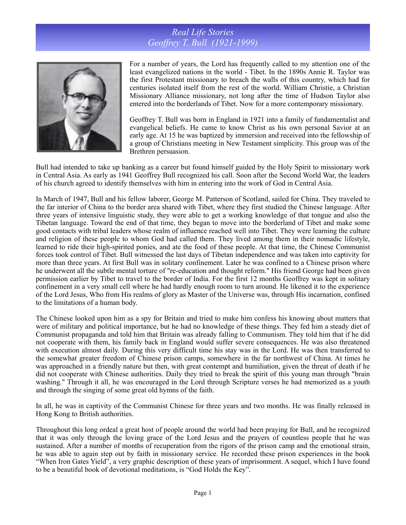## *Real Life Stories Geoffrey T. Bull (1921-1999)*



For a number of years, the Lord has frequently called to my attention one of the least evangelized nations in the world - Tibet. In the 1890s Annie R. Taylor was the first Protestant missionary to breach the walls of this country, which had for centuries isolated itself from the rest of the world. William Christie, a Christian Missionary Alliance missionary, not long after the time of Hudson Taylor also entered into the borderlands of Tibet. Now for a more contemporary missionary.

Geoffrey T. Bull was born in England in 1921 into a family of fundamentalist and evangelical beliefs. He came to know Christ as his own personal Savior at an early age. At 15 he was baptized by immersion and received into the fellowship of a group of Christians meeting in New Testament simplicity. This group was of the Brethren persuasion.

Bull had intended to take up banking as a career but found himself guided by the Holy Spirit to missionary work in Central Asia. As early as 1941 Geoffrey Bull recognized his call. Soon after the Second World War, the leaders of his church agreed to identify themselves with him in entering into the work of God in Central Asia.

In March of 1947, Bull and his fellow laborer, George M. Patterson of Scotland, sailed for China. They traveled to the far interior of China to the border area shared with Tibet, where they first studied the Chinese language. After three years of intensive linguistic study, they were able to get a working knowledge of that tongue and also the Tibetan language. Toward the end of that time, they began to move into the borderland of Tibet and make some good contacts with tribal leaders whose realm of influence reached well into Tibet. They were learning the culture and religion of these people to whom God had called them. They lived among them in their nomadic lifestyle, learned to ride their high-spirited ponies, and ate the food of these people. At that time, the Chinese Communist forces took control of Tibet. Bull witnessed the last days of Tibetan independence and was taken into captivity for more than three years. At first Bull was in solitary confinement. Later he was confined to a Chinese prison where he underwent all the subtle mental torture of "re-education and thought reform." His friend George had been given permission earlier by Tibet to travel to the border of India. For the first 12 months Geoffrey was kept in solitary confinement in a very small cell where he had hardly enough room to turn around. He likened it to the experience of the Lord Jesus, Who from His realms of glory as Master of the Universe was, through His incarnation, confined to the limitations of a human body.

The Chinese looked upon him as a spy for Britain and tried to make him confess his knowing about matters that were of military and political importance, but he had no knowledge of these things. They fed him a steady diet of Communist propaganda and told him that Britain was already falling to Communism. They told him that if he did not cooperate with them, his family back in England would suffer severe consequences. He was also threatened with execution almost daily. During this very difficult time his stay was in the Lord. He was then transferred to the somewhat greater freedom of Chinese prison camps, somewhere in the far northwest of China. At times he was approached in a friendly nature but then, with great contempt and humiliation, given the threat of death if he did not cooperate with Chinese authorities. Daily they tried to break the spirit of this young man through "brain washing." Through it all, he was encouraged in the Lord through Scripture verses he had memorized as a youth and through the singing of some great old hymns of the faith.

In all, he was in captivity of the Communist Chinese for three years and two months. He was finally released in Hong Kong to British authorities.

Throughout this long ordeal a great host of people around the world had been praying for Bull, and he recognized that it was only through the loving grace of the Lord Jesus and the prayers of countless people that he was sustained. After a number of months of recuperation from the rigors of the prison camp and the emotional strain, he was able to again step out by faith in missionary service. He recorded these prison experiences in the book "When Iron Gates Yield", a very graphic description of these years of imprisonment. A sequel, which I have found to be a beautiful book of devotional meditations, is "God Holds the Key".